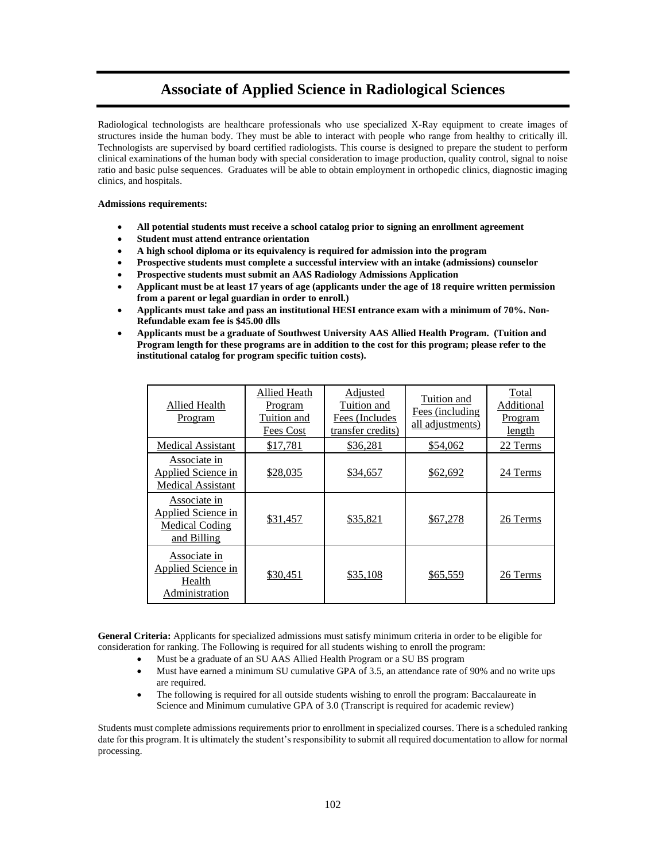# **Associate of Applied Science in Radiological Sciences**

Radiological technologists are healthcare professionals who use specialized X-Ray equipment to create images of structures inside the human body. They must be able to interact with people who range from healthy to critically ill. Technologists are supervised by board certified radiologists. This course is designed to prepare the student to perform clinical examinations of the human body with special consideration to image production, quality control, signal to noise ratio and basic pulse sequences. Graduates will be able to obtain employment in orthopedic clinics, diagnostic imaging clinics, and hospitals.

## **Admissions requirements:**

- **All potential students must receive a school catalog prior to signing an enrollment agreement**
- **Student must attend entrance orientation**
- **A high school diploma or its equivalency is required for admission into the program**
- **Prospective students must complete a successful interview with an intake (admissions) counselor**
- **Prospective students must submit an AAS Radiology Admissions Application**
- **Applicant must be at least 17 years of age (applicants under the age of 18 require written permission from a parent or legal guardian in order to enroll.)**
- **Applicants must take and pass an institutional HESI entrance exam with a minimum of 70%. Non-Refundable exam fee is \$45.00 dlls**
- **Applicants must be a graduate of Southwest University AAS Allied Health Program. (Tuition and Program length for these programs are in addition to the cost for this program; please refer to the institutional catalog for program specific tuition costs).**

| Allied Health<br>Program                                                     | <b>Allied Heath</b><br>Program<br>Tuition and<br>Fees Cost | Adjusted<br>Tuition and<br>Fees (Includes<br>transfer credits) | Tuition and<br>Fees (including<br>all adjustments) | Total<br>Additional<br>Program<br>length |
|------------------------------------------------------------------------------|------------------------------------------------------------|----------------------------------------------------------------|----------------------------------------------------|------------------------------------------|
| <b>Medical Assistant</b>                                                     | \$17,781                                                   | \$36,281                                                       | \$54,062                                           | 22 Terms                                 |
| <b>Associate in</b><br><b>Applied Science in</b><br><b>Medical Assistant</b> | \$28,035                                                   | \$34,657                                                       | \$62,692                                           | 24 Terms                                 |
| Associate in<br>Applied Science in<br><b>Medical Coding</b><br>and Billing   | \$31,457                                                   | \$35,821                                                       | \$67,278                                           | 26 Terms                                 |
| <b>Associate in</b><br>Applied Science in<br>Health<br>Administration        | \$30,451                                                   | \$35,108                                                       | \$65,559                                           | 26 Terms                                 |

**General Criteria:** Applicants for specialized admissions must satisfy minimum criteria in order to be eligible for consideration for ranking. The Following is required for all students wishing to enroll the program:

- Must be a graduate of an SU AAS Allied Health Program or a SU BS program
- Must have earned a minimum SU cumulative GPA of 3.5, an attendance rate of 90% and no write ups are required.
- The following is required for all outside students wishing to enroll the program: Baccalaureate in Science and Minimum cumulative GPA of 3.0 (Transcript is required for academic review)

Students must complete admissions requirements prior to enrollment in specialized courses. There is a scheduled ranking date for this program. It is ultimately the student's responsibility to submit all required documentation to allow for normal processing.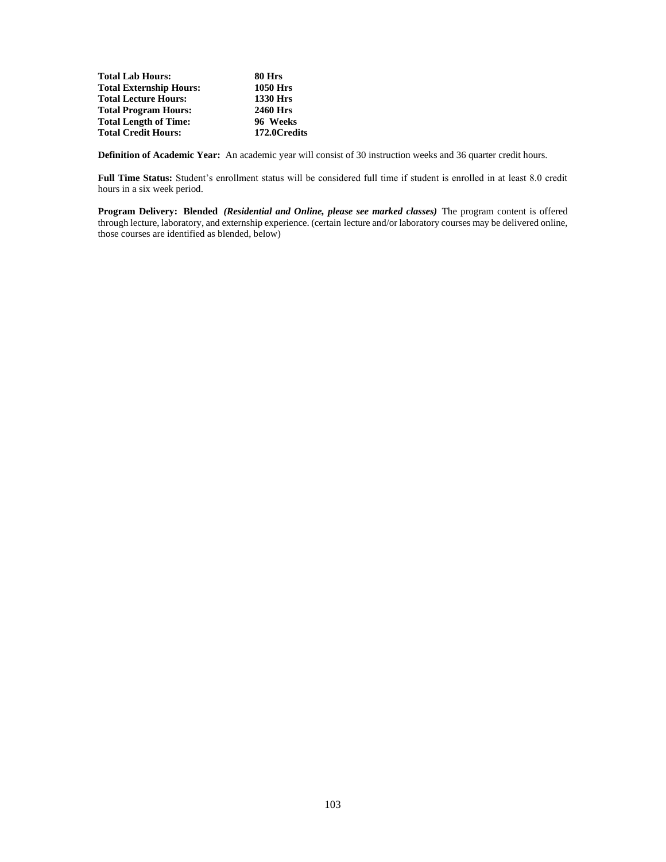**Total Lab Hours: 80 Hrs Total Externship Hours:** 1050 Hrs<br> **Total Lecture Hours:** 1330 Hrs **Total Lecture Hours: 1330 Hrs Total Program Hours:** 2460 Hrs<br> **Total Length of Time:** 96 Weeks **Total Length of Time: 96 Weeks Total Credit Hours:** 

**Definition of Academic Year:** An academic year will consist of 30 instruction weeks and 36 quarter credit hours.

**Full Time Status:** Student's enrollment status will be considered full time if student is enrolled in at least 8.0 credit hours in a six week period.

**Program Delivery: Blended** *(Residential and Online, please see marked classes)* The program content is offered through lecture, laboratory, and externship experience. (certain lecture and/or laboratory courses may be delivered online, those courses are identified as blended, below)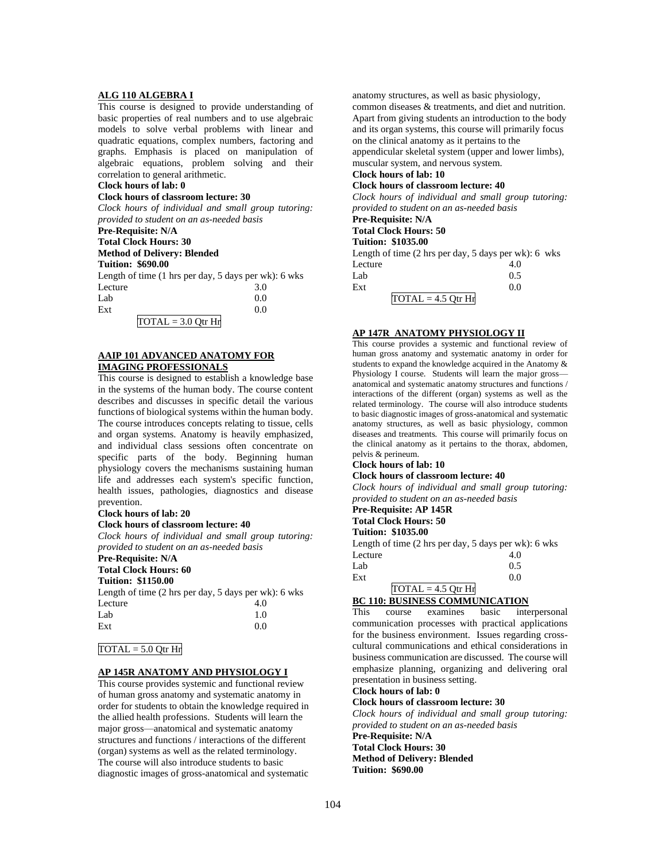# **ALG 110 ALGEBRA I**

This course is designed to provide understanding of basic properties of real numbers and to use algebraic models to solve verbal problems with linear and quadratic equations, complex numbers, factoring and graphs. Emphasis is placed on manipulation of algebraic equations, problem solving and their correlation to general arithmetic.

# **Clock hours of lab: 0**

# **Clock hours of classroom lecture: 30**

*Clock hours of individual and small group tutoring: provided to student on an as-needed basis*

# **Pre-Requisite: N/A**

**Total Clock Hours: 30**

# **Method of Delivery: Blended**

**Tuition: \$690.00**

| Length of time $(1 \text{ hrs per day}, 5 \text{ days per wk})$ : 6 wks |     |
|-------------------------------------------------------------------------|-----|
| Lecture                                                                 | 3.0 |
| Lab                                                                     | 0.0 |
| Ext                                                                     | 00  |

#### $TOTAL = 3.0 Qtr Hr$

#### **AAIP 101 ADVANCED ANATOMY FOR IMAGING PROFESSIONALS**

This course is designed to establish a knowledge base in the systems of the human body. The course content describes and discusses in specific detail the various functions of biological systems within the human body. The course introduces concepts relating to tissue, cells and organ systems. Anatomy is heavily emphasized, and individual class sessions often concentrate on specific parts of the body. Beginning human physiology covers the mechanisms sustaining human life and addresses each system's specific function, health issues, pathologies, diagnostics and disease prevention.

#### **Clock hours of lab: 20**

## **Clock hours of classroom lecture: 40**

*Clock hours of individual and small group tutoring: provided to student on an as-needed basis*

# **Pre-Requisite: N/A**

**Total Clock Hours: 60**

# **Tuition: \$1150.00**

| Length of time $(2 \text{ hrs per day}, 5 \text{ days per wk})$ : 6 wks |     |
|-------------------------------------------------------------------------|-----|
| Lecture                                                                 | 4.0 |
| Lab                                                                     | 1.0 |
| Ext                                                                     | 0.0 |

#### $TOTAL = 5.0$  Otr Hr

#### **AP 145R ANATOMY AND PHYSIOLOGY I**

This course provides systemic and functional review of human gross anatomy and systematic anatomy in order for students to obtain the knowledge required in the allied health professions. Students will learn the major gross—anatomical and systematic anatomy structures and functions / interactions of the different (organ) systems as well as the related terminology. The course will also introduce students to basic diagnostic images of gross-anatomical and systematic anatomy structures, as well as basic physiology, common diseases & treatments, and diet and nutrition. Apart from giving students an introduction to the body and its organ systems, this course will primarily focus on the clinical anatomy as it pertains to the appendicular skeletal system (upper and lower limbs),

muscular system, and nervous system.

#### **Clock hours of lab: 10 Clock hours of classroom lecture: 40**

*Clock hours of individual and small group tutoring: provided to student on an as-needed basis*

## **Pre-Requisite: N/A**

#### **Total Clock Hours: 50**

**Tuition: \$1035.00**

Length of time (2 hrs per day, 5 days per wk): 6 wks Lecture 4.0  $Lab$  0.5  $\text{Ext}$  0.0  $TOTAL = 4.5 Qtr Hr$ 

#### **AP 147R ANATOMY PHYSIOLOGY II**

This course provides a systemic and functional review of human gross anatomy and systematic anatomy in order for students to expand the knowledge acquired in the Anatomy & Physiology I course. Students will learn the major gross anatomical and systematic anatomy structures and functions / interactions of the different (organ) systems as well as the related terminology. The course will also introduce students to basic diagnostic images of gross-anatomical and systematic anatomy structures, as well as basic physiology, common diseases and treatments. This course will primarily focus on the clinical anatomy as it pertains to the thorax, abdomen, pelvis & perineum.

#### **Clock hours of lab: 10**

**Clock hours of classroom lecture: 40**

*Clock hours of individual and small group tutoring: provided to student on an as-needed basis*

#### **Pre-Requisite: AP 145R Total Clock Hours: 50**

**Tuition: \$1035.00**

| Length of time $(2 \text{ hrs per day}, 5 \text{ days per wk})$ : 6 wks |     |
|-------------------------------------------------------------------------|-----|
| Lecture                                                                 | 4.0 |
| Lab                                                                     | 0.5 |

| Ext |                      |  |
|-----|----------------------|--|
|     | $TOTAL = 4.5 Qtr Hr$ |  |
|     |                      |  |

# **BC 110: BUSINESS COMMUNICATION**

This course examines basic interpersonal communication processes with practical applications for the business environment. Issues regarding crosscultural communications and ethical considerations in business communication are discussed. The course will emphasize planning, organizing and delivering oral presentation in business setting.

# **Clock hours of lab: 0**

**Clock hours of classroom lecture: 30**

*Clock hours of individual and small group tutoring: provided to student on an as-needed basis*

**Pre-Requisite: N/A Total Clock Hours: 30 Method of Delivery: Blended Tuition: \$690.00**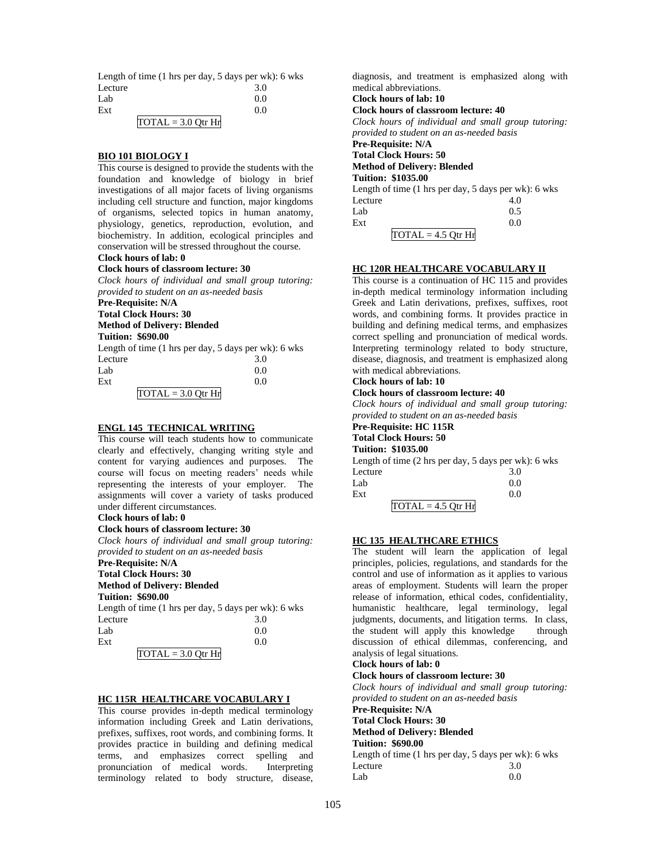Length of time (1 hrs per day, 5 days per wk): 6 wks Lecture 3.0  $Lab$  0.0  $\text{Ext}$  0.0

 $TOTAL = 3.0 Qtr Hr$ 

## **BIO 101 BIOLOGY I**

This course is designed to provide the students with the foundation and knowledge of biology in brief investigations of all major facets of living organisms including cell structure and function, major kingdoms of organisms, selected topics in human anatomy, physiology, genetics, reproduction, evolution, and biochemistry. In addition, ecological principles and conservation will be stressed throughout the course.

## **Clock hours of lab: 0**

## **Clock hours of classroom lecture: 30**

*Clock hours of individual and small group tutoring: provided to student on an as-needed basis*

# **Pre-Requisite: N/A**

**Total Clock Hours: 30 Method of Delivery: Blended**

# **Tuition: \$690.00**

Length of time (1 hrs per day, 5 days per wk): 6 wks Lecture 3.0

| Lab |                                            | 0.0 |
|-----|--------------------------------------------|-----|
| Ext |                                            | 0.0 |
|     | $\text{TOTAL} = 3.0 \text{ Qtr} \text{Hr}$ |     |

## **ENGL 145 TECHNICAL WRITING**

This course will teach students how to communicate clearly and effectively, changing writing style and content for varying audiences and purposes. The course will focus on meeting readers' needs while representing the interests of your employer. The assignments will cover a variety of tasks produced under different circumstances.

## **Clock hours of lab: 0**

# **Clock hours of classroom lecture: 30**

*Clock hours of individual and small group tutoring: provided to student on an as-needed basis*

#### **Pre-Requisite: N/A Total Clock Hours: 30**

#### **Method of Delivery: Blended**

**Tuition: \$690.00**

Length of time (1 hrs per day, 5 days per wk): 6 wks Lecture 3.0  $Lab$  0.0  $\text{Ext}$  0.0

 $TOTAL = 3.0 Qtr Hr$ 

# **HC 115R HEALTHCARE VOCABULARY I**

This course provides in-depth medical terminology information including Greek and Latin derivations, prefixes, suffixes, root words, and combining forms. It provides practice in building and defining medical terms, and emphasizes correct spelling and pronunciation of medical words. Interpreting terminology related to body structure, disease,

diagnosis, and treatment is emphasized along with medical abbreviations. **Clock hours of lab: 10 Clock hours of classroom lecture: 40** *Clock hours of individual and small group tutoring: provided to student on an as-needed basis* **Pre-Requisite: N/A Total Clock Hours: 50 Method of Delivery: Blended Tuition: \$1035.00** Length of time (1 hrs per day, 5 days per wk): 6 wks Lecture  $4.0$ Lab  $0.5$  $\text{Ext}$  0.0

 $TOTAL = 4.5 Qtr Hr$ 

# **HC 120R HEALTHCARE VOCABULARY II**

This course is a continuation of HC 115 and provides in-depth medical terminology information including Greek and Latin derivations, prefixes, suffixes, root words, and combining forms. It provides practice in building and defining medical terms, and emphasizes correct spelling and pronunciation of medical words. Interpreting terminology related to body structure, disease, diagnosis, and treatment is emphasized along with medical abbreviations.

## **Clock hours of lab: 10**

## **Clock hours of classroom lecture: 40**

*Clock hours of individual and small group tutoring: provided to student on an as-needed basis*

# **Pre-Requisite: HC 115R**

#### **Total Clock Hours: 50 Tuition: \$1035.00**

Length of time (2 hrs per day, 5 days per wk): 6 wks Lecture 3.0  $Lab$  0.0  $\text{Ext}$  0.0  $TOTAL = 4.5$  Qtr Hr

## **HC 135 HEALTHCARE ETHICS**

The student will learn the application of legal principles, policies, regulations, and standards for the control and use of information as it applies to various areas of employment. Students will learn the proper release of information, ethical codes, confidentiality, humanistic healthcare, legal terminology, legal judgments, documents, and litigation terms. In class, the student will apply this knowledge through discussion of ethical dilemmas, conferencing, and analysis of legal situations.

#### **Clock hours of lab: 0 Clock hours of classroom lecture: 30**

*Clock hours of individual and small group tutoring: provided to student on an as-needed basis* **Pre-Requisite: N/A**

## **Total Clock Hours: 30**

**Method of Delivery: Blended**

#### **Tuition: \$690.00**

Length of time (1 hrs per day, 5 days per wk): 6 wks Lecture 3.0  $Lab$  0.0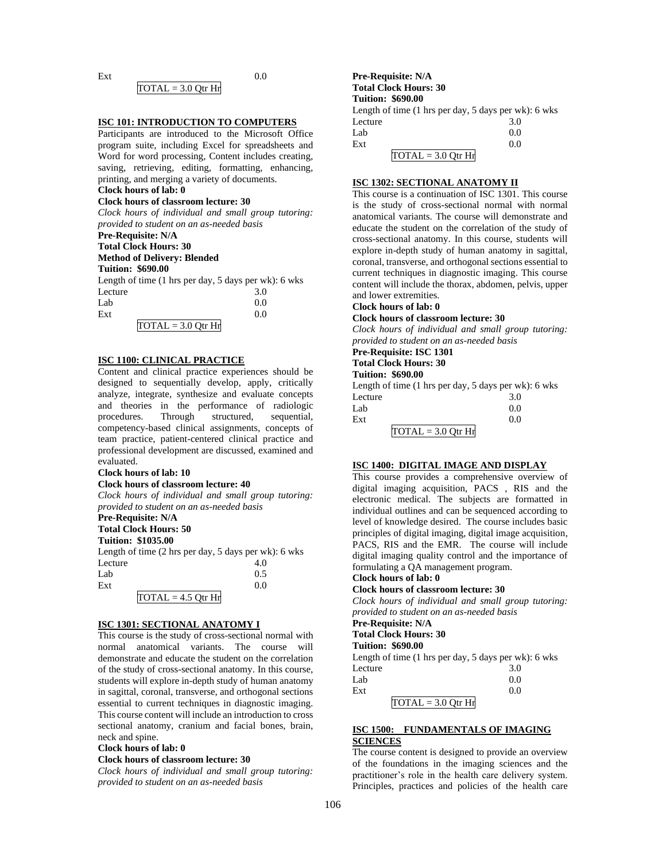#### $\text{Ext}$  0.0  $TOTAL = 3.0 Qtr Hr$

#### **ISC 101: INTRODUCTION TO COMPUTERS**

Participants are introduced to the Microsoft Office program suite, including Excel for spreadsheets and Word for word processing, Content includes creating, saving, retrieving, editing, formatting, enhancing, printing, and merging a variety of documents.

## **Clock hours of lab: 0**

#### **Clock hours of classroom lecture: 30**

*Clock hours of individual and small group tutoring: provided to student on an as-needed basis*

# **Pre-Requisite: N/A**

# **Total Clock Hours: 30**

#### **Method of Delivery: Blended Tuition: \$690.00**

| random. pozoivo                                                         |     |
|-------------------------------------------------------------------------|-----|
| Length of time $(1 \text{ hrs per day}, 5 \text{ days per wk})$ : 6 wks |     |
| Lecture                                                                 | 3.0 |
| Lab                                                                     | 0.0 |

| Lab. |                                            | 0.0 |
|------|--------------------------------------------|-----|
| Ext  |                                            | 0.0 |
|      | $\overline{NOTAL} = 3.0 \overline{Qtr Hr}$ |     |

## **ISC 1100: CLINICAL PRACTICE**

Content and clinical practice experiences should be designed to sequentially develop, apply, critically analyze, integrate, synthesize and evaluate concepts and theories in the performance of radiologic procedures. Through structured, sequential, competency-based clinical assignments, concepts of team practice, patient-centered clinical practice and professional development are discussed, examined and evaluated.

#### **Clock hours of lab: 10**

## **Clock hours of classroom lecture: 40**

*Clock hours of individual and small group tutoring: provided to student on an as-needed basis*

#### **Pre-Requisite: N/A Total Clock Hours: 50**

**Tuition: \$1035.00**

|                      | Length of time $(2 \text{ hrs per day}, 5 \text{ days per wk})$ : 6 wks |
|----------------------|-------------------------------------------------------------------------|
| Lecture              | 4.0                                                                     |
| Lab                  | 0.5                                                                     |
| Ext                  | 0.0                                                                     |
| $TOTAL = 4.5$ Otr Hr |                                                                         |

#### **ISC 1301: SECTIONAL ANATOMY I**

This course is the study of cross-sectional normal with normal anatomical variants. The course will demonstrate and educate the student on the correlation of the study of cross-sectional anatomy. In this course, students will explore in-depth study of human anatomy in sagittal, coronal, transverse, and orthogonal sections essential to current techniques in diagnostic imaging. This course content will include an introduction to cross sectional anatomy, cranium and facial bones, brain, neck and spine.

#### **Clock hours of lab: 0**

#### **Clock hours of classroom lecture: 30**

*Clock hours of individual and small group tutoring: provided to student on an as-needed basis*

**Pre-Requisite: N/A Total Clock Hours: 30 Tuition: \$690.00** Length of time (1 hrs per day, 5 days per wk): 6 wks Lecture 3.0  $Lab$  0.0  $\text{Ext}$  0.0  $TOTAL = 3.0 Qtr Hr$ 

#### **ISC 1302: SECTIONAL ANATOMY II**

This course is a continuation of ISC 1301. This course is the study of cross-sectional normal with normal anatomical variants. The course will demonstrate and educate the student on the correlation of the study of cross-sectional anatomy. In this course, students will explore in-depth study of human anatomy in sagittal, coronal, transverse, and orthogonal sections essential to current techniques in diagnostic imaging. This course content will include the thorax, abdomen, pelvis, upper and lower extremities.

## **Clock hours of lab: 0**

**Clock hours of classroom lecture: 30**

*Clock hours of individual and small group tutoring: provided to student on an as-needed basis*

# **Pre-Requisite: ISC 1301**

**Total Clock Hours: 30**

# **Tuition: \$690.00**

Length of time (1 hrs per day, 5 days per wk): 6 wks Lecture 3.0  $Lab$  0.0  $\text{Ext}$  0.0  $TOTAL = 3.0$  Otr Hr

#### **ISC 1400: DIGITAL IMAGE AND DISPLAY**

This course provides a comprehensive overview of digital imaging acquisition, PACS , RIS and the electronic medical. The subjects are formatted in individual outlines and can be sequenced according to level of knowledge desired. The course includes basic principles of digital imaging, digital image acquisition, PACS, RIS and the EMR. The course will include digital imaging quality control and the importance of formulating a QA management program.

#### **Clock hours of lab: 0 Clock hours of classroom lecture: 30**

*Clock hours of individual and small group tutoring: provided to student on an as-needed basis*

## **Pre-Requisite: N/A Total Clock Hours: 30 Tuition: \$690.00** Length of time (1 hrs per day, 5 days per wk): 6 wks Lecture

| Luur |                      | J.V |  |
|------|----------------------|-----|--|
| Lab  |                      | 0.0 |  |
| Ext  |                      | 0.0 |  |
|      | $TOTAL = 3.0 Qtr Hr$ |     |  |

## **ISC 1500: FUNDAMENTALS OF IMAGING SCIENCES**

The course content is designed to provide an overview of the foundations in the imaging sciences and the practitioner's role in the health care delivery system. Principles, practices and policies of the health care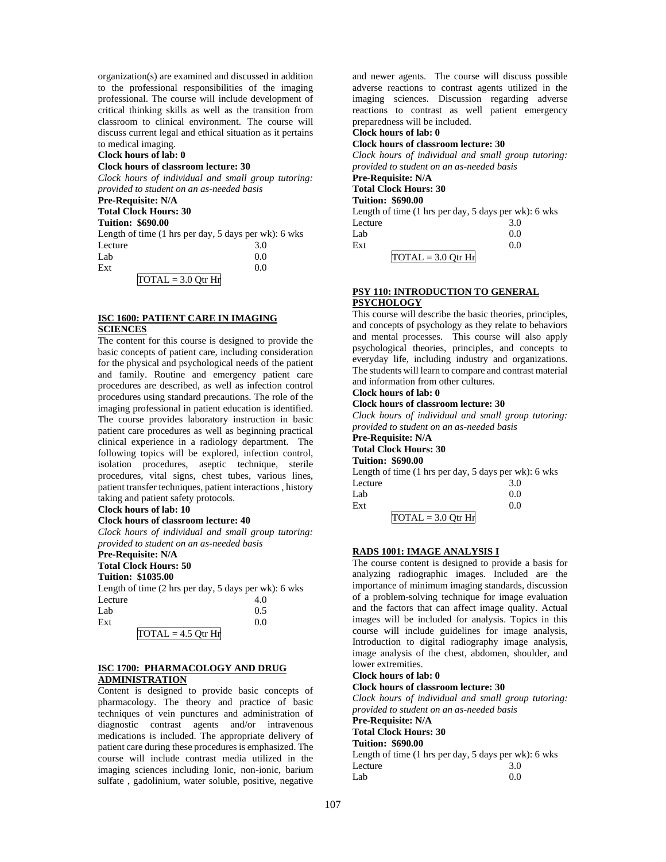organization(s) are examined and discussed in addition to the professional responsibilities of the imaging professional. The course will include development of critical thinking skills as well as the transition from classroom to clinical environment. The course will discuss current legal and ethical situation as it pertains to medical imaging.

#### **Clock hours of lab: 0**

#### **Clock hours of classroom lecture: 30**

*Clock hours of individual and small group tutoring: provided to student on an as-needed basis*

**Pre-Requisite: N/A Total Clock Hours: 30**

# **Tuition: \$690.00**

Length of time (1 hrs per day, 5 days per wk): 6 wks Lecture 3.0<br>Lab 0.0  $Lab$  0.0  $\text{Ext}$  0.0  $TOTAL = 3.0 Qtr Hr$ 

## **ISC 1600: PATIENT CARE IN IMAGING SCIENCES**

The content for this course is designed to provide the basic concepts of patient care, including consideration for the physical and psychological needs of the patient and family. Routine and emergency patient care procedures are described, as well as infection control procedures using standard precautions. The role of the imaging professional in patient education is identified. The course provides laboratory instruction in basic patient care procedures as well as beginning practical clinical experience in a radiology department. The following topics will be explored, infection control, isolation procedures, aseptic technique, sterile procedures, vital signs, chest tubes, various lines, patient transfer techniques, patient interactions , history taking and patient safety protocols.

# **Clock hours of lab: 10**

#### **Clock hours of classroom lecture: 40**

*Clock hours of individual and small group tutoring: provided to student on an as-needed basis*

# **Pre-Requisite: N/A**

**Total Clock Hours: 50**

# **Tuition: \$1035.00**

Length of time (2 hrs per day, 5 days per wk): 6 wks Lecture 4.0<br>Lab 0.5  $Lab$  0.5  $\text{Ext}$  0.0  $TOTAL = 4.5 Qtr Hr$ 

#### **ISC 1700: PHARMACOLOGY AND DRUG ADMINISTRATION**

Content is designed to provide basic concepts of pharmacology. The theory and practice of basic techniques of vein punctures and administration of diagnostic contrast agents and/or intravenous medications is included. The appropriate delivery of patient care during these procedures is emphasized. The course will include contrast media utilized in the imaging sciences including Ionic, non-ionic, barium sulfate , gadolinium, water soluble, positive, negative and newer agents. The course will discuss possible adverse reactions to contrast agents utilized in the imaging sciences. Discussion regarding adverse reactions to contrast as well patient emergency preparedness will be included.

# **Clock hours of lab: 0**

**Clock hours of classroom lecture: 30**

*Clock hours of individual and small group tutoring: provided to student on an as-needed basis*

# **Pre-Requisite: N/A Total Clock Hours: 30**

# **Tuition: \$690.00**

| Length of time (1 hrs per day, 5 days per wk): 6 wks |     |
|------------------------------------------------------|-----|
| Lecture                                              | 3.0 |
| Lab                                                  | 0.0 |
| Ext                                                  | 0.0 |
| $TOTAL = 3.0$ Otr Hr                                 |     |

# **PSY 110: INTRODUCTION TO GENERAL PSYCHOLOGY**

This course will describe the basic theories, principles, and concepts of psychology as they relate to behaviors and mental processes. This course will also apply psychological theories, principles, and concepts to everyday life, including industry and organizations. The students will learn to compare and contrast material and information from other cultures.

# **Clock hours of lab: 0**

## **Clock hours of classroom lecture: 30**

*Clock hours of individual and small group tutoring: provided to student on an as-needed basis*

**Pre-Requisite: N/A**

# **Total Clock Hours: 30**

**Tuition: \$690.00**

|         | Length of time $(1 \text{ hrs per day}, 5 \text{ days per wk})$ : 6 wks |
|---------|-------------------------------------------------------------------------|
| Lecture | 3.0                                                                     |
| Lab     | 0.0                                                                     |
| Ext     | 0.0                                                                     |
|         |                                                                         |

 $TOTAL = 3.0 Qtr Hr$ 

## **RADS 1001: IMAGE ANALYSIS I**

The course content is designed to provide a basis for analyzing radiographic images. Included are the importance of minimum imaging standards, discussion of a problem-solving technique for image evaluation and the factors that can affect image quality. Actual images will be included for analysis. Topics in this course will include guidelines for image analysis, Introduction to digital radiography image analysis, image analysis of the chest, abdomen, shoulder, and lower extremities.

#### **Clock hours of lab: 0**

#### **Clock hours of classroom lecture: 30**

*Clock hours of individual and small group tutoring: provided to student on an as-needed basis* **Pre-Requisite: N/A Total Clock Hours: 30 Tuition: \$690.00** Length of time (1 hrs per day, 5 days per wk): 6 wks Lecture 3.0  $Lab$  0.0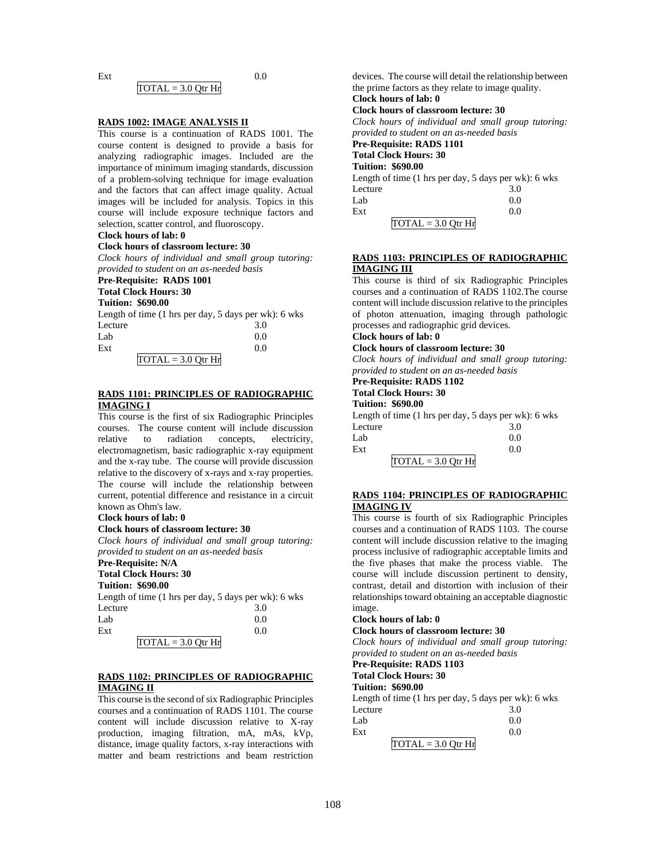#### $\text{Ext}$  0.0  $TOTAL = 3.0 Qtr Hr$

#### **RADS 1002: IMAGE ANALYSIS II**

This course is a continuation of RADS 1001. The course content is designed to provide a basis for analyzing radiographic images. Included are the importance of minimum imaging standards, discussion of a problem-solving technique for image evaluation and the factors that can affect image quality. Actual images will be included for analysis. Topics in this course will include exposure technique factors and selection, scatter control, and fluoroscopy.

# **Clock hours of lab: 0**

# **Clock hours of classroom lecture: 30**

*Clock hours of individual and small group tutoring: provided to student on an as-needed basis*

# **Pre-Requisite: RADS 1001**

**Total Clock Hours: 30**

# **Tuition: \$690.00**

Length of time (1 hrs per day, 5 days per wk): 6 wks Lecture 3.0

| Lab |                                 | 0.0 |
|-----|---------------------------------|-----|
| Ext |                                 | 0.0 |
|     | $\overline{TOTAL} = 3.0$ Qtr Hr |     |

#### **RADS 1101: PRINCIPLES OF RADIOGRAPHIC IMAGING I**

This course is the first of six Radiographic Principles courses. The course content will include discussion relative to radiation concepts, electricity, electromagnetism, basic radiographic x-ray equipment and the x-ray tube. The course will provide discussion relative to the discovery of x-rays and x-ray properties. The course will include the relationship between current, potential difference and resistance in a circuit known as Ohm's law.

#### **Clock hours of lab: 0**

#### **Clock hours of classroom lecture: 30**

*Clock hours of individual and small group tutoring: provided to student on an as-needed basis*

#### **Pre-Requisite: N/A Total Clock Hours: 30**

**Tuition: \$690.00**

Length of time (1 hrs per day, 5 days per wk): 6 wks Lecture 3.0<br>Lab 0.0

| Lab |                                 | 0.0 |
|-----|---------------------------------|-----|
| Ext |                                 | 0.0 |
|     | $\overline{TOTAL} = 3.0$ Qtr Hr |     |

## **RADS 1102: PRINCIPLES OF RADIOGRAPHIC IMAGING II**

This course is the second of six Radiographic Principles courses and a continuation of RADS 1101. The course content will include discussion relative to X-ray production, imaging filtration, mA, mAs, kVp, distance, image quality factors, x-ray interactions with matter and beam restrictions and beam restriction devices. The course will detail the relationship between the prime factors as they relate to image quality. **Clock hours of lab: 0** 

# **Clock hours of classroom lecture: 30**

*Clock hours of individual and small group tutoring:* 

*provided to student on an as-needed basis*

**Pre-Requisite: RADS 1101**

#### **Total Clock Hours: 30 Tuition: \$690.00**

Length of time (1 hrs per day, 5 days per wk): 6 wks

|         | Lengui of third (1 ms per day, 9 days per will be we |     |  |
|---------|------------------------------------------------------|-----|--|
| Lecture |                                                      | 3.0 |  |
| Lab     |                                                      | 0.0 |  |
| Ext     |                                                      | 0.0 |  |
|         | $TOTAL = 3.0 Qtr Hr$                                 |     |  |

## **RADS 1103: PRINCIPLES OF RADIOGRAPHIC IMAGING III**

This course is third of six Radiographic Principles courses and a continuation of RADS 1102.The course content will include discussion relative to the principles of photon attenuation, imaging through pathologic processes and radiographic grid devices.

# **Clock hours of lab: 0**

## **Clock hours of classroom lecture: 30**

*Clock hours of individual and small group tutoring: provided to student on an as-needed basis*

# **Pre-Requisite: RADS 1102**

#### **Total Clock Hours: 30 Tuition: \$690.00**

Length of time (1 hrs per day, 5 days per wk): 6 wks Lecture 3.0

| Lab |                                                       | 0.0 |
|-----|-------------------------------------------------------|-----|
| Ext |                                                       | 0.0 |
|     | $\overline{\text{TOTAL}} = 3.0 \text{ Qtr} \text{Hr}$ |     |

# **RADS 1104: PRINCIPLES OF RADIOGRAPHIC IMAGING IV**

This course is fourth of six Radiographic Principles courses and a continuation of RADS 1103. The course content will include discussion relative to the imaging process inclusive of radiographic acceptable limits and the five phases that make the process viable. The course will include discussion pertinent to density, contrast, detail and distortion with inclusion of their relationships toward obtaining an acceptable diagnostic image.

## **Clock hours of lab: 0**

**Clock hours of classroom lecture: 30**

*Clock hours of individual and small group tutoring: provided to student on an as-needed basis*

#### **Pre-Requisite: RADS 1103 Total Clock Hours: 30**

# **Tuition: \$690.00**

Length of time (1 hrs per day, 5 days per wk): 6 wks Lecture 3.0  $Lab$  0.0

| Ext |                      |  |
|-----|----------------------|--|
|     | $TOTAL = 3.0$ Otr Hr |  |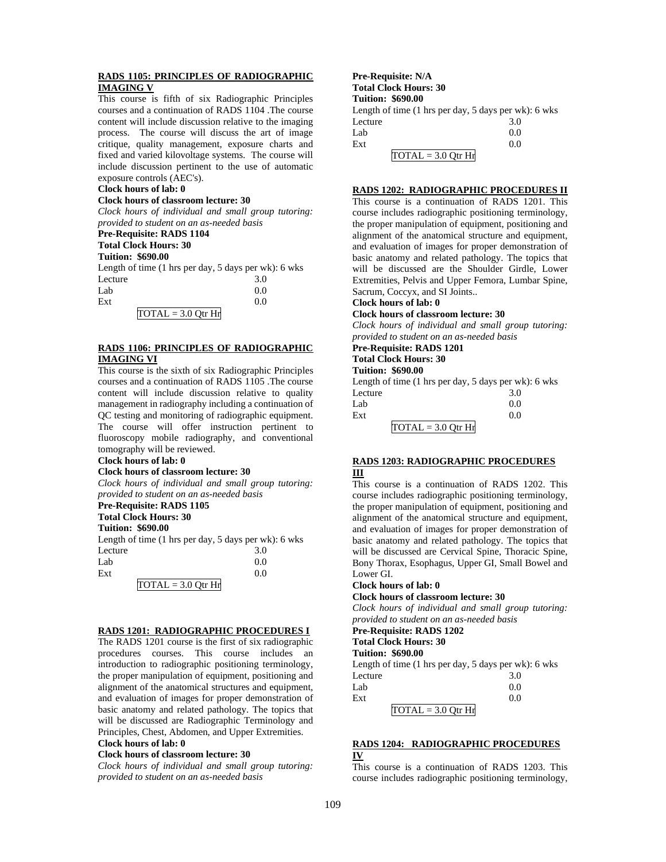## **RADS 1105: PRINCIPLES OF RADIOGRAPHIC IMAGING V**

This course is fifth of six Radiographic Principles courses and a continuation of RADS 1104 .The course content will include discussion relative to the imaging process. The course will discuss the art of image critique, quality management, exposure charts and fixed and varied kilovoltage systems. The course will include discussion pertinent to the use of automatic exposure controls (AEC's).

#### **Clock hours of lab: 0**

#### **Clock hours of classroom lecture: 30**

*Clock hours of individual and small group tutoring: provided to student on an as-needed basis*

# **Pre-Requisite: RADS 1104**

# **Total Clock Hours: 30**

**Tuition: \$690.00**

|         | Length of time $(1 \text{ hrs per day}, 5 \text{ days per wk})$ : 6 wks |
|---------|-------------------------------------------------------------------------|
| Lecture | 3.0                                                                     |
| Lab     | 0.0                                                                     |
| Ext     | 0.0                                                                     |
|         |                                                                         |

# $TOTAL = 3.0 Qtr Hr$

## **RADS 1106: PRINCIPLES OF RADIOGRAPHIC IMAGING VI**

This course is the sixth of six Radiographic Principles courses and a continuation of RADS 1105 .The course content will include discussion relative to quality management in radiography including a continuation of QC testing and monitoring of radiographic equipment. The course will offer instruction pertinent to fluoroscopy mobile radiography, and conventional tomography will be reviewed.

## **Clock hours of lab: 0**

## **Clock hours of classroom lecture: 30**

*Clock hours of individual and small group tutoring: provided to student on an as-needed basis*

#### **Pre-Requisite: RADS 1105 Total Clock Hours: 30**

**Tuition: \$690.00**

Length of time (1 hrs per day, 5 days per wk): 6 wks Lecture 3.0  $Lab$  0.0  $\text{Ext}$  0.0  $TOTAL = 3.0$  Qtr Hr

#### **RADS 1201: RADIOGRAPHIC PROCEDURES I**

The RADS 1201 course is the first of six radiographic procedures courses. This course includes an introduction to radiographic positioning terminology, the proper manipulation of equipment, positioning and alignment of the anatomical structures and equipment, and evaluation of images for proper demonstration of basic anatomy and related pathology. The topics that will be discussed are Radiographic Terminology and Principles, Chest, Abdomen, and Upper Extremities. **Clock hours of lab: 0** 

# **Clock hours of classroom lecture: 30**

*Clock hours of individual and small group tutoring: provided to student on an as-needed basis*

**Pre-Requisite: N/A Total Clock Hours: 30 Tuition: \$690.00** Length of time (1 hrs per day, 5 days per wk): 6 wks Lecture 3.0  $Lab$  0.0  $\text{Ext}$  0.0  $TOTAL = 3.0 Qtr Hr$ 

#### **RADS 1202: RADIOGRAPHIC PROCEDURES II**

This course is a continuation of RADS 1201. This course includes radiographic positioning terminology, the proper manipulation of equipment, positioning and alignment of the anatomical structure and equipment, and evaluation of images for proper demonstration of basic anatomy and related pathology. The topics that will be discussed are the Shoulder Girdle, Lower Extremities, Pelvis and Upper Femora, Lumbar Spine, Sacrum, Coccyx, and SI Joints..

#### **Clock hours of lab: 0**

#### **Clock hours of classroom lecture: 30**

*Clock hours of individual and small group tutoring: provided to student on an as-needed basis*

#### **Pre-Requisite: RADS 1201 Total Clock Hours: 30**

#### **Tuition: \$690.00**

Length of time (1 hrs per day, 5 days per wk): 6 wks Lecture 3.0  $Lab$  0.0  $\text{Ext}$  0.0  $TOTAL = 3.0$  Otr Hr

## **RADS 1203: RADIOGRAPHIC PROCEDURES III**

This course is a continuation of RADS 1202. This course includes radiographic positioning terminology, the proper manipulation of equipment, positioning and alignment of the anatomical structure and equipment, and evaluation of images for proper demonstration of basic anatomy and related pathology. The topics that will be discussed are Cervical Spine, Thoracic Spine, Bony Thorax, Esophagus, Upper GI, Small Bowel and Lower GI.

# **Clock hours of lab: 0**

#### **Clock hours of classroom lecture: 30**

*Clock hours of individual and small group tutoring: provided to student on an as-needed basis*

#### **Pre-Requisite: RADS 1202 Total Clock Hours: 30**

#### **Tuition: \$690.00**

Length of time (1 hrs per day, 5 days per wk): 6 wks Lecture 3.0  $Lab$  0.0  $\text{Ext}$  0.0  $TOTAL = 3.0 Qtr Hr$ 

## **RADS 1204: RADIOGRAPHIC PROCEDURES IV**

This course is a continuation of RADS 1203. This course includes radiographic positioning terminology,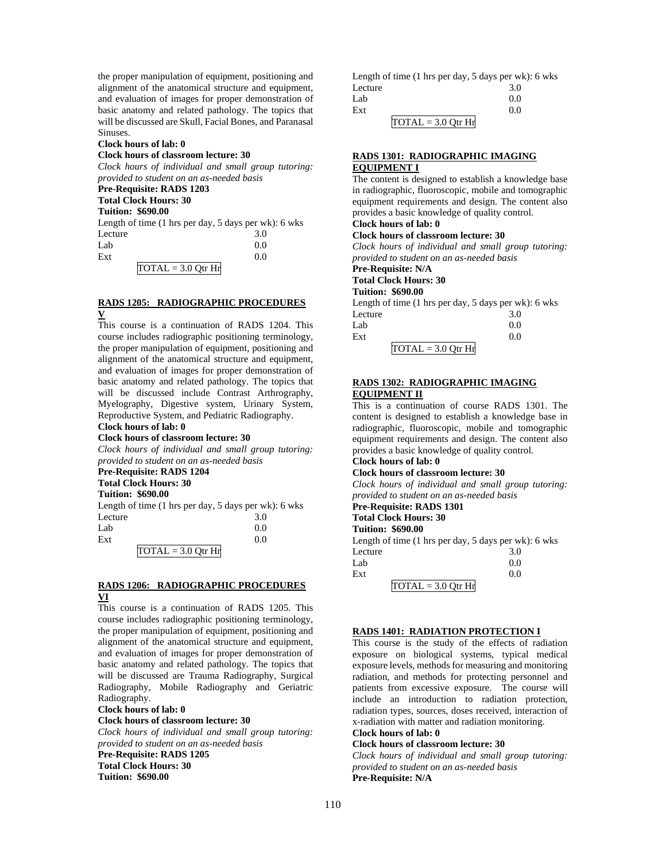the proper manipulation of equipment, positioning and alignment of the anatomical structure and equipment, and evaluation of images for proper demonstration of basic anatomy and related pathology. The topics that will be discussed are Skull, Facial Bones, and Paranasal Sinuses.

# **Clock hours of lab: 0**

# **Clock hours of classroom lecture: 30**

*Clock hours of individual and small group tutoring: provided to student on an as-needed basis*

#### **Pre-Requisite: RADS 1203 Total Clock Hours: 30**

**Tuition: \$690.00**

Length of time (1 hrs per day, 5 days per wk): 6 wks Lecture 3.0  $Lab$  0.0  $\text{Ext}$  0.0

 $\overline{TOTAL} = 3.0$  Qtr Hr

## **RADS 1205: RADIOGRAPHIC PROCEDURES V**

This course is a continuation of RADS 1204. This course includes radiographic positioning terminology, the proper manipulation of equipment, positioning and alignment of the anatomical structure and equipment, and evaluation of images for proper demonstration of basic anatomy and related pathology. The topics that will be discussed include Contrast Arthrography, Myelography, Digestive system, Urinary System, Reproductive System, and Pediatric Radiography.

# **Clock hours of lab: 0**

# **Clock hours of classroom lecture: 30**

*Clock hours of individual and small group tutoring: provided to student on an as-needed basis*

# **Pre-Requisite: RADS 1204**

**Total Clock Hours: 30**

# **Tuition: \$690.00**

Length of time (1 hrs per day, 5 days per wk): 6 wks Lecture 3.0  $Lab$  0.0  $\text{Ext}$  0.0

 $TOTAL = 3.0 Qtr Hr$ 

## **RADS 1206: RADIOGRAPHIC PROCEDURES VI**

This course is a continuation of RADS 1205. This course includes radiographic positioning terminology, the proper manipulation of equipment, positioning and alignment of the anatomical structure and equipment, and evaluation of images for proper demonstration of basic anatomy and related pathology. The topics that will be discussed are Trauma Radiography, Surgical Radiography, Mobile Radiography and Geriatric Radiography.

#### **Clock hours of lab: 0**

#### **Clock hours of classroom lecture: 30**

*Clock hours of individual and small group tutoring: provided to student on an as-needed basis* **Pre-Requisite: RADS 1205 Total Clock Hours: 30 Tuition: \$690.00**

| Length of time $(1 \text{ hrs per day}, 5 \text{ days per wk})$ : 6 wks |     |
|-------------------------------------------------------------------------|-----|
| Lecture                                                                 | 3.0 |
| Lab                                                                     | 0.0 |
| Ext                                                                     | 0.0 |
| $TOTAL = 3.0 Qtr Hr$                                                    |     |

## **RADS 1301: RADIOGRAPHIC IMAGING EQUIPMENT I**

The content is designed to establish a knowledge base in radiographic, fluoroscopic, mobile and tomographic equipment requirements and design. The content also provides a basic knowledge of quality control. **Clock hours of lab: 0** 

# **Clock hours of classroom lecture: 30**

*Clock hours of individual and small group tutoring: provided to student on an as-needed basis*

**Pre-Requisite: N/A**

# **Total Clock Hours: 30**

## **Tuition: \$690.00**

Length of time (1 hrs per day, 5 days per wk): 6 wks Lecture 3.0  $Lab$  0.0

| Ext |                      |  |
|-----|----------------------|--|
|     | $TOTAL = 3.0$ Otr Hr |  |

# **RADS 1302: RADIOGRAPHIC IMAGING EQUIPMENT II**

This is a continuation of course RADS 1301. The content is designed to establish a knowledge base in radiographic, fluoroscopic, mobile and tomographic equipment requirements and design. The content also provides a basic knowledge of quality control.

#### **Clock hours of lab: 0 Clock hours of classroom lecture: 30**

*Clock hours of individual and small group tutoring: provided to student on an as-needed basis*

# **Pre-Requisite: RADS 1301**

**Total Clock Hours: 30**

#### **Tuition: \$690.00**

Length of time (1 hrs per day, 5 days per wk): 6 wks Lecture 3.0  $Lab$  0.0  $\text{Ext}$  0.0  $TOTAL = 3.0 Qtr Hr$ 

## **RADS 1401: RADIATION PROTECTION I**

This course is the study of the effects of radiation exposure on biological systems, typical medical exposure levels, methods for measuring and monitoring radiation, and methods for protecting personnel and patients from excessive exposure. The course will include an introduction to radiation protection, radiation types, sources, doses received, interaction of x-radiation with matter and radiation monitoring.

# **Clock hours of lab: 0**

**Clock hours of classroom lecture: 30** *Clock hours of individual and small group tutoring: provided to student on an as-needed basis*

**Pre-Requisite: N/A**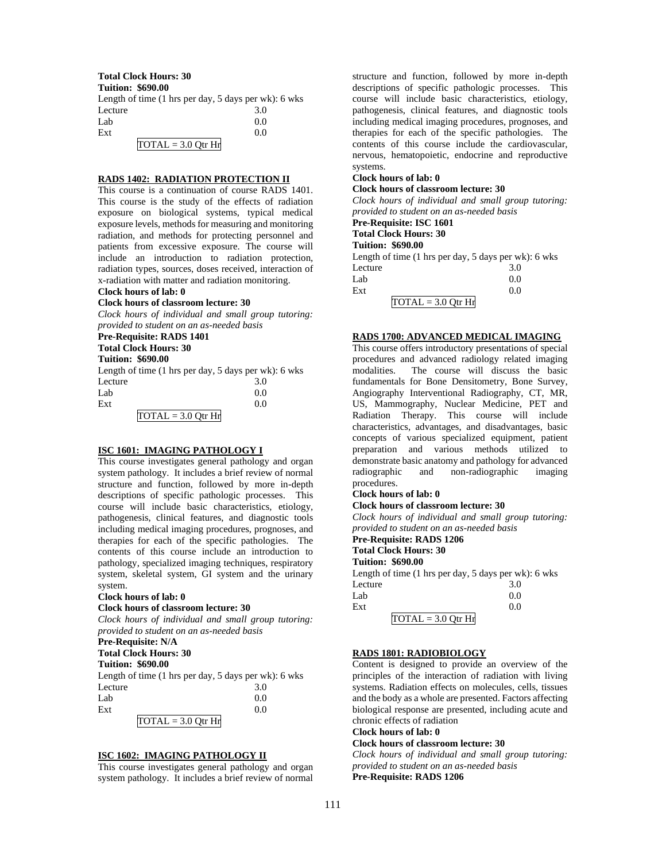#### **Total Clock Hours: 30**

**Tuition: \$690.00**

| Length of time $(1 \text{ hrs per day}, 5 \text{ days per wk})$ : 6 wks |     |
|-------------------------------------------------------------------------|-----|
| Lecture                                                                 | 3.0 |
| Lab                                                                     | 0.0 |
| Ext                                                                     | 0.0 |
| $TOTAL = 3.0 Qtr Hr$                                                    |     |

## **RADS 1402: RADIATION PROTECTION II**

This course is a continuation of course RADS 1401. This course is the study of the effects of radiation exposure on biological systems, typical medical exposure levels, methods for measuring and monitoring radiation, and methods for protecting personnel and patients from excessive exposure. The course will include an introduction to radiation protection, radiation types, sources, doses received, interaction of x-radiation with matter and radiation monitoring.

# **Clock hours of lab: 0**

## **Clock hours of classroom lecture: 30**

*Clock hours of individual and small group tutoring: provided to student on an as-needed basis*

# **Pre-Requisite: RADS 1401**

**Total Clock Hours: 30**

#### **Tuition: \$690.00**

| Length of time $(1 \text{ hrs per day}, 5 \text{ days per wk})$ : 6 wks |     |
|-------------------------------------------------------------------------|-----|
| Lecture                                                                 | 3.0 |
| Lab                                                                     | 0.0 |
| Ext                                                                     | 0.0 |
| $TOTAL = 3.0$ Otr Hr                                                    |     |

#### **ISC 1601: IMAGING PATHOLOGY I**

This course investigates general pathology and organ system pathology. It includes a brief review of normal structure and function, followed by more in-depth descriptions of specific pathologic processes. This course will include basic characteristics, etiology, pathogenesis, clinical features, and diagnostic tools including medical imaging procedures, prognoses, and therapies for each of the specific pathologies. The contents of this course include an introduction to pathology, specialized imaging techniques, respiratory system, skeletal system, GI system and the urinary system.

#### **Clock hours of lab: 0**

#### **Clock hours of classroom lecture: 30**

*Clock hours of individual and small group tutoring: provided to student on an as-needed basis*

#### **Pre-Requisite: N/A**

**Total Clock Hours: 30**

## **Tuition: \$690.00**

| Length of time $(1 \text{ hrs per day}, 5 \text{ days per wk})$ : 6 wks |     |
|-------------------------------------------------------------------------|-----|
| Lecture                                                                 | 3.0 |
| Lab                                                                     | 0.0 |
| Ext                                                                     | 0.0 |
| $TOTAL = 3.0 Qtr Hr$                                                    |     |

## **ISC 1602: IMAGING PATHOLOGY II**

This course investigates general pathology and organ system pathology. It includes a brief review of normal structure and function, followed by more in-depth descriptions of specific pathologic processes. This course will include basic characteristics, etiology, pathogenesis, clinical features, and diagnostic tools including medical imaging procedures, prognoses, and therapies for each of the specific pathologies. The contents of this course include the cardiovascular, nervous, hematopoietic, endocrine and reproductive systems.

## **Clock hours of lab: 0**

#### **Clock hours of classroom lecture: 30**

*Clock hours of individual and small group tutoring: provided to student on an as-needed basis*

## **Pre-Requisite: ISC 1601**

**Total Clock Hours: 30**

# **Tuition: \$690.00**

Length of time (1 hrs per day, 5 days per wk): 6 wks Lecture 3.0  $Lab$  0.0  $\text{Ext}$  0.0  $\overline{TOTAL} = 3.0$  Otr Hr

## **RADS 1700: ADVANCED MEDICAL IMAGING**

This course offers introductory presentations of special procedures and advanced radiology related imaging modalities. The course will discuss the basic fundamentals for Bone Densitometry, Bone Survey, Angiography Interventional Radiography, CT, MR, US, Mammography, Nuclear Medicine, PET and Radiation Therapy. This course will include characteristics, advantages, and disadvantages, basic concepts of various specialized equipment, patient preparation and various methods utilized to demonstrate basic anatomy and pathology for advanced radiographic and non-radiographic imaging procedures.

# **Clock hours of lab: 0**

## **Clock hours of classroom lecture: 30**

*Clock hours of individual and small group tutoring: provided to student on an as-needed basis*

## **Pre-Requisite: RADS 1206**

**Total Clock Hours: 30**

# **Tuition: \$690.00**

Length of time (1 hrs per day, 5 days per wk): 6 wks Lecture 3.0  $Lab$  0.0

| Ext |                      |  |
|-----|----------------------|--|
|     | $TOTAL = 3.0 Qtr Hr$ |  |

# **RADS 1801: RADIOBIOLOGY**

Content is designed to provide an overview of the principles of the interaction of radiation with living systems. Radiation effects on molecules, cells, tissues and the body as a whole are presented. Factors affecting biological response are presented, including acute and chronic effects of radiation

# **Clock hours of lab: 0**

# **Clock hours of classroom lecture: 30**

*Clock hours of individual and small group tutoring: provided to student on an as-needed basis* **Pre-Requisite: RADS 1206**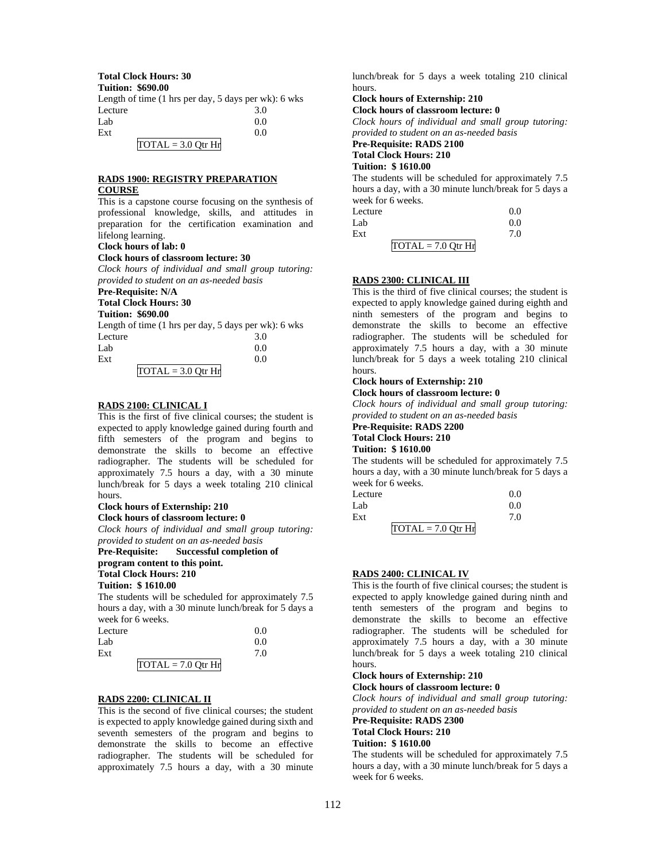# **Total Clock Hours: 30**

**Tuition: \$690.00**

| Length of time $(1 \text{ hrs per day}, 5 \text{ days per wk})$ : 6 wks |     |
|-------------------------------------------------------------------------|-----|
| Lecture                                                                 | 3.0 |
| Lab                                                                     | 0.0 |
| Ext                                                                     | 0.0 |
| $TOTAL = 3.0$ Otr Hr                                                    |     |

## **RADS 1900: REGISTRY PREPARATION COURSE**

This is a capstone course focusing on the synthesis of professional knowledge, skills, and attitudes in preparation for the certification examination and lifelong learning.

# **Clock hours of lab: 0**

# **Clock hours of classroom lecture: 30**

*Clock hours of individual and small group tutoring: provided to student on an as-needed basis*

# **Pre-Requisite: N/A**

# **Total Clock Hours: 30**

| <b>Tuition: \$690.00</b>                                                |          |
|-------------------------------------------------------------------------|----------|
| Length of time $(1 \text{ hrs per day}, 5 \text{ days per wk})$ : 6 wks |          |
| Lecture                                                                 | 3.0      |
| $T = 1$                                                                 | $\Omega$ |

| Lab |                      | 0.0 |
|-----|----------------------|-----|
| Ext |                      | 0.0 |
|     | TOTAL = $3.0$ Qtr Hr |     |

# **RADS 2100: CLINICAL I**

This is the first of five clinical courses; the student is expected to apply knowledge gained during fourth and fifth semesters of the program and begins to demonstrate the skills to become an effective radiographer. The students will be scheduled for approximately 7.5 hours a day, with a 30 minute lunch/break for 5 days a week totaling 210 clinical hours.

# **Clock hours of Externship: 210**

**Clock hours of classroom lecture: 0**

*Clock hours of individual and small group tutoring: provided to student on an as-needed basis*

**Pre-Requisite: Successful completion of program content to this point. Total Clock Hours: 210 Tuition: \$ 1610.00**

The students will be scheduled for approximately 7.5 hours a day, with a 30 minute lunch/break for 5 days a week for 6 weeks.

| Lecture | 0.0                                            |
|---------|------------------------------------------------|
| Lab     | 0.0                                            |
| Ext     | 7.0                                            |
|         | $\overline{TOTAL} = 7.0 \, \overline{Q}$ tr Hr |

# **RADS 2200: CLINICAL II**

This is the second of five clinical courses; the student is expected to apply knowledge gained during sixth and seventh semesters of the program and begins to demonstrate the skills to become an effective radiographer. The students will be scheduled for approximately 7.5 hours a day, with a 30 minute

lunch/break for 5 days a week totaling 210 clinical hours.

# **Clock hours of Externship: 210**

**Clock hours of classroom lecture: 0**

*Clock hours of individual and small group tutoring: provided to student on an as-needed basis*

# **Pre-Requisite: RADS 2100**

#### **Total Clock Hours: 210 Tuition: \$ 1610.00**

The students will be scheduled for approximately 7.5 hours a day, with a 30 minute lunch/break for 5 days a week for 6 weeks. Lecture 0.0

| Lecture              | 0.0 |
|----------------------|-----|
| Lab                  | 0.0 |
| Ext                  | 7.0 |
| $TOTAL = 7.0 Qtr Hr$ |     |

# **RADS 2300: CLINICAL III**

This is the third of five clinical courses; the student is expected to apply knowledge gained during eighth and ninth semesters of the program and begins to demonstrate the skills to become an effective radiographer. The students will be scheduled for approximately 7.5 hours a day, with a 30 minute lunch/break for 5 days a week totaling 210 clinical hours.

# **Clock hours of Externship: 210**

**Clock hours of classroom lecture: 0**

*Clock hours of individual and small group tutoring: provided to student on an as-needed basis*

#### **Pre-Requisite: RADS 2200 Total Clock Hours: 210 Tuition: \$ 1610.00**

The students will be scheduled for approximately 7.5 hours a day, with a 30 minute lunch/break for 5 days a week for 6 weeks.

| Lecture              | 0.0 |
|----------------------|-----|
| Lab                  | 0.0 |
| Ext                  | 7.0 |
| $TOTAL = 7.0 Qtr Hr$ |     |

#### **RADS 2400: CLINICAL IV**

This is the fourth of five clinical courses; the student is expected to apply knowledge gained during ninth and tenth semesters of the program and begins to demonstrate the skills to become an effective radiographer. The students will be scheduled for approximately 7.5 hours a day, with a 30 minute lunch/break for 5 days a week totaling 210 clinical hours.

# **Clock hours of Externship: 210**

**Clock hours of classroom lecture: 0**

*Clock hours of individual and small group tutoring: provided to student on an as-needed basis*

**Pre-Requisite: RADS 2300**

# **Total Clock Hours: 210**

# **Tuition: \$ 1610.00**

The students will be scheduled for approximately 7.5 hours a day, with a 30 minute lunch/break for 5 days a week for 6 weeks.